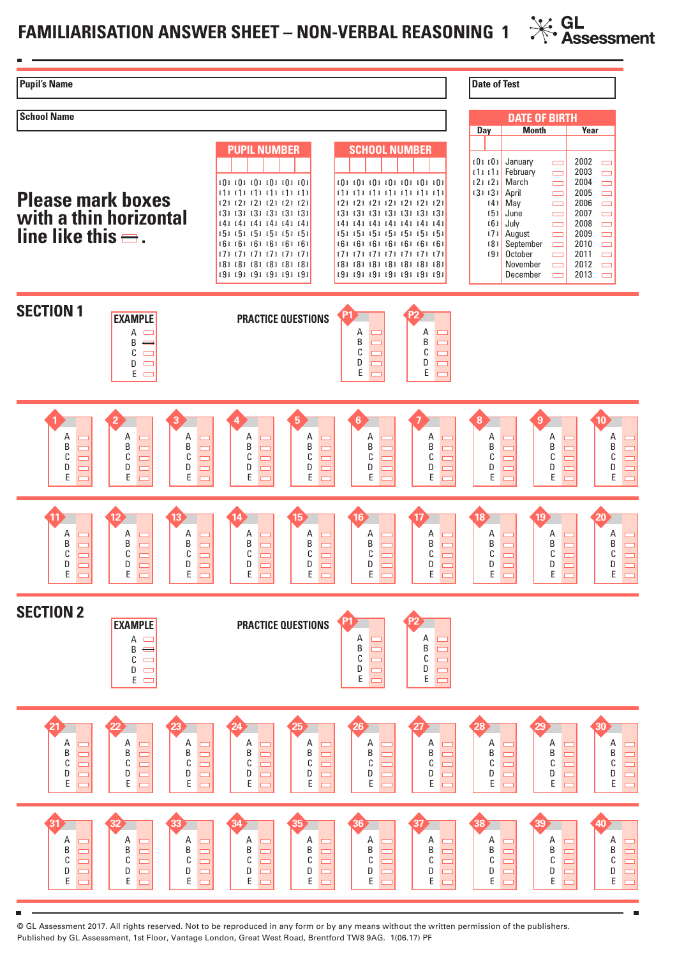## **FAMILIARISATION ANSWER SHEET – NON-VERBAL REASONING 1**



© GL Assessment 2017. All rights reserved. Not to be reproduced in any form or by any means without the written permission of the publishers. Published by GL Assessment, 1st Floor, Vantage London, Great West Road, Brentford TW8 9AG. 1(06.17) PF